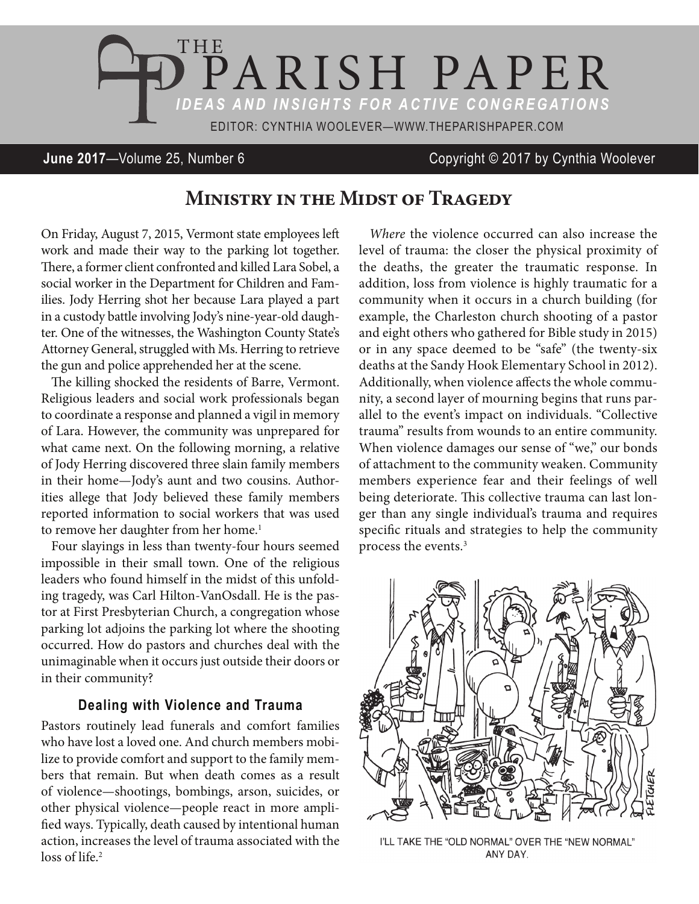

## **June 2017**—Volume 25, Number 6 Copyright © 2017 by Cynthia Woolever

# **Ministry in the Midst of Tragedy**

On Friday, August 7, 2015, Vermont state employees left work and made their way to the parking lot together. There, a former client confronted and killed Lara Sobel, a social worker in the Department for Children and Families. Jody Herring shot her because Lara played a part in a custody battle involving Jody's nine-year-old daughter. One of the witnesses, the Washington County State's Attorney General, struggled with Ms. Herring to retrieve the gun and police apprehended her at the scene.

The killing shocked the residents of Barre, Vermont. Religious leaders and social work professionals began to coordinate a response and planned a vigil in memory of Lara. However, the community was unprepared for what came next. On the following morning, a relative of Jody Herring discovered three slain family members in their home—Jody's aunt and two cousins. Authorities allege that Jody believed these family members reported information to social workers that was used to remove her daughter from her home.<sup>1</sup>

Four slayings in less than twenty-four hours seemed impossible in their small town. One of the religious leaders who found himself in the midst of this unfolding tragedy, was Carl Hilton-VanOsdall. He is the pastor at First Presbyterian Church, a congregation whose parking lot adjoins the parking lot where the shooting occurred. How do pastors and churches deal with the unimaginable when it occurs just outside their doors or in their community?

### **Dealing with Violence and Trauma**

Pastors routinely lead funerals and comfort families who have lost a loved one. And church members mobilize to provide comfort and support to the family members that remain. But when death comes as a result of violence—shootings, bombings, arson, suicides, or other physical violence—people react in more amplified ways. Typically, death caused by intentional human action, increases the level of trauma associated with the loss of life.<sup>2</sup>

*Where* the violence occurred can also increase the level of trauma: the closer the physical proximity of the deaths, the greater the traumatic response. In addition, loss from violence is highly traumatic for a community when it occurs in a church building (for example, the Charleston church shooting of a pastor and eight others who gathered for Bible study in 2015) or in any space deemed to be "safe" (the twenty-six deaths at the Sandy Hook Elementary School in 2012). Additionally, when violence affects the whole community, a second layer of mourning begins that runs parallel to the event's impact on individuals. "Collective trauma" results from wounds to an entire community. When violence damages our sense of "we," our bonds of attachment to the community weaken. Community members experience fear and their feelings of well being deteriorate. This collective trauma can last longer than any single individual's trauma and requires specific rituals and strategies to help the community process the events.3



I'LL TAKE THE "OLD NORMAL" OVER THE "NEW NORMAL" ANY DAY.